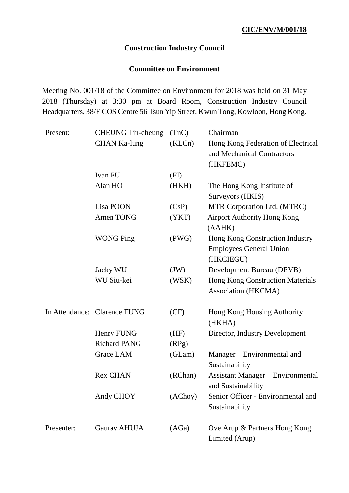# **Construction Industry Council**

# **Committee on Environment**

Meeting No. 001/18 of the Committee on Environment for 2018 was held on 31 May 2018 (Thursday) at 3:30 pm at Board Room, Construction Industry Council Headquarters, 38/F COS Centre 56 Tsun Yip Street, Kwun Tong, Kowloon, Hong Kong.

| Present:   | <b>CHEUNG</b> Tin-cheung     | (TnC)   | Chairman                                                       |
|------------|------------------------------|---------|----------------------------------------------------------------|
|            | <b>CHAN Ka-lung</b>          | (KLCn)  | Hong Kong Federation of Electrical                             |
|            |                              |         | and Mechanical Contractors                                     |
|            |                              |         | (HKFEMC)                                                       |
|            | Ivan FU                      | (FI)    |                                                                |
|            | Alan HO                      | (HKH)   | The Hong Kong Institute of                                     |
|            |                              |         | Surveyors (HKIS)                                               |
|            | Lisa POON                    | (CsP)   | MTR Corporation Ltd. (MTRC)                                    |
|            | Amen TONG                    | (YKT)   | <b>Airport Authority Hong Kong</b><br>(AAHK)                   |
|            | <b>WONG Ping</b>             | (PWG)   | Hong Kong Construction Industry                                |
|            |                              |         | <b>Employees General Union</b>                                 |
|            |                              |         | (HKCIEGU)                                                      |
|            | Jacky WU                     | (JW)    | Development Bureau (DEVB)                                      |
|            | WU Siu-kei                   | (WSK)   | <b>Hong Kong Construction Materials</b>                        |
|            |                              |         | <b>Association (HKCMA)</b>                                     |
|            | In Attendance: Clarence FUNG | (CF)    | Hong Kong Housing Authority                                    |
|            |                              |         | (HKHA)                                                         |
|            | Henry FUNG                   | (HF)    | Director, Industry Development                                 |
|            | <b>Richard PANG</b>          | (RPg)   |                                                                |
|            | Grace LAM                    | (GLam)  | Manager – Environmental and<br>Sustainability                  |
|            | <b>Rex CHAN</b>              | (RChan) | <b>Assistant Manager – Environmental</b><br>and Sustainability |
|            | Andy CHOY                    | (AChoy) | Senior Officer - Environmental and<br>Sustainability           |
| Presenter: | Gaurav AHUJA                 | (AGa)   | Ove Arup & Partners Hong Kong<br>Limited (Arup)                |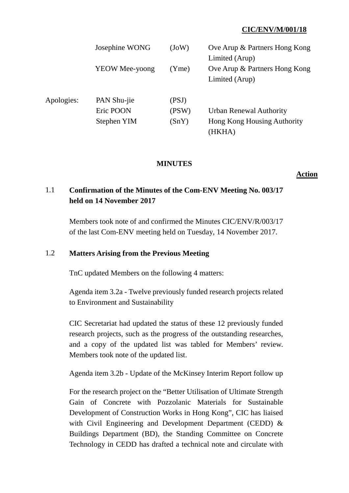|            | Josephine WONG<br><b>YEOW Mee-yoong</b> | (JoW)<br>(Yme) | Ove Arup & Partners Hong Kong<br>Limited (Arup)<br>Ove Arup & Partners Hong Kong<br>Limited (Arup) |
|------------|-----------------------------------------|----------------|----------------------------------------------------------------------------------------------------|
| Apologies: | PAN Shu-jie                             | (PSJ)          | <b>Urban Renewal Authority</b>                                                                     |
|            | Eric POON                               | (PSW)          | Hong Kong Housing Authority                                                                        |
|            | Stephen YIM                             | (SnY)          | (HKHA)                                                                                             |

#### **MINUTES**

**Action**

# 1.1 **Confirmation of the Minutes of the Com-ENV Meeting No. 003/17 held on 14 November 2017**

Members took note of and confirmed the Minutes CIC/ENV/R/003/17 of the last Com-ENV meeting held on Tuesday, 14 November 2017.

# 1.2 **Matters Arising from the Previous Meeting**

TnC updated Members on the following 4 matters:

Agenda item 3.2a - Twelve previously funded research projects related to Environment and Sustainability

CIC Secretariat had updated the status of these 12 previously funded research projects, such as the progress of the outstanding researches, and a copy of the updated list was tabled for Members' review. Members took note of the updated list.

Agenda item 3.2b - Update of the McKinsey Interim Report follow up

For the research project on the "Better Utilisation of Ultimate Strength Gain of Concrete with Pozzolanic Materials for Sustainable Development of Construction Works in Hong Kong", CIC has liaised with Civil Engineering and Development Department (CEDD) & Buildings Department (BD), the Standing Committee on Concrete Technology in CEDD has drafted a technical note and circulate with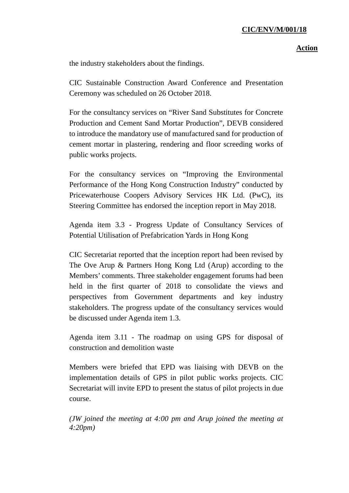### **Action**

the industry stakeholders about the findings.

CIC Sustainable Construction Award Conference and Presentation Ceremony was scheduled on 26 October 2018.

For the consultancy services on "River Sand Substitutes for Concrete Production and Cement Sand Mortar Production", DEVB considered to introduce the mandatory use of manufactured sand for production of cement mortar in plastering, rendering and floor screeding works of public works projects.

For the consultancy services on "Improving the Environmental Performance of the Hong Kong Construction Industry" conducted by Pricewaterhouse Coopers Advisory Services HK Ltd. (PwC), its Steering Committee has endorsed the inception report in May 2018.

Agenda item 3.3 - Progress Update of Consultancy Services of Potential Utilisation of Prefabrication Yards in Hong Kong

CIC Secretariat reported that the inception report had been revised by The Ove Arup & Partners Hong Kong Ltd (Arup) according to the Members' comments. Three stakeholder engagement forums had been held in the first quarter of 2018 to consolidate the views and perspectives from Government departments and key industry stakeholders. The progress update of the consultancy services would be discussed under Agenda item 1.3.

Agenda item 3.11 - The roadmap on using GPS for disposal of construction and demolition waste

Members were briefed that EPD was liaising with DEVB on the implementation details of GPS in pilot public works projects. CIC Secretariat will invite EPD to present the status of pilot projects in due course.

*(JW joined the meeting at 4:00 pm and Arup joined the meeting at 4:20pm)*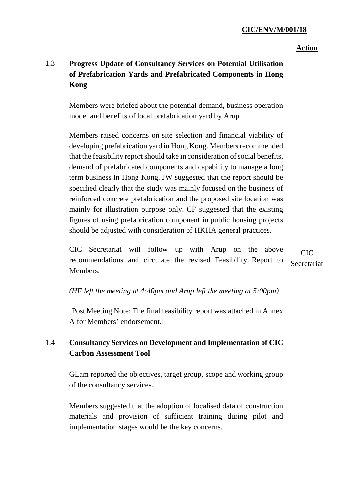#### **Action**

# 1.3 **Progress Update of Consultancy Services on Potential Utilisation of Prefabrication Yards and Prefabricated Components in Hong Kong**

Members were briefed about the potential demand, business operation model and benefits of local prefabrication yard by Arup.

Members raised concerns on site selection and financial viability of developing prefabrication yard in Hong Kong. Members recommended that the feasibility report should take in consideration of social benefits, demand of prefabricated components and capability to manage a long term business in Hong Kong. JW suggested that the report should be specified clearly that the study was mainly focused on the business of reinforced concrete prefabrication and the proposed site location was mainly for illustration purpose only. CF suggested that the existing figures of using prefabrication component in public housing projects should be adjusted with consideration of HKHA general practices.

CIC Secretariat will follow up with Arup on the above recommendations and circulate the revised Feasibility Report to Members. CIC Secretariat

*(HF left the meeting at 4:40pm and Arup left the meeting at 5:00pm)*

[Post Meeting Note: The final feasibility report was attached in Annex A for Members' endorsement.]

# 1.4 **Consultancy Services on Development and Implementation of CIC Carbon Assessment Tool**

GLam reported the objectives, target group, scope and working group of the consultancy services.

Members suggested that the adoption of localised data of construction materials and provision of sufficient training during pilot and implementation stages would be the key concerns.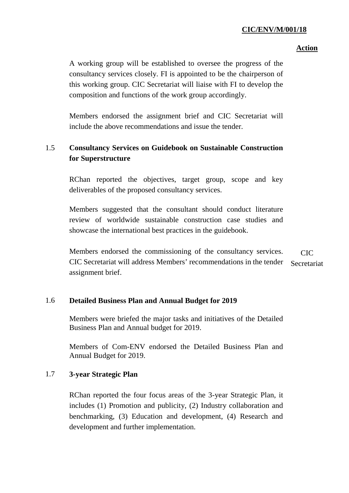### **Action**

A working group will be established to oversee the progress of the consultancy services closely. FI is appointed to be the chairperson of this working group. CIC Secretariat will liaise with FI to develop the composition and functions of the work group accordingly.

Members endorsed the assignment brief and CIC Secretariat will include the above recommendations and issue the tender.

# 1.5 **Consultancy Services on Guidebook on Sustainable Construction for Superstructure**

RChan reported the objectives, target group, scope and key deliverables of the proposed consultancy services.

Members suggested that the consultant should conduct literature review of worldwide sustainable construction case studies and showcase the international best practices in the guidebook.

Members endorsed the commissioning of the consultancy services. CIC Secretariat will address Members' recommendations in the tender assignment brief. CIC Secretariat

## 1.6 **Detailed Business Plan and Annual Budget for 2019**

Members were briefed the major tasks and initiatives of the Detailed Business Plan and Annual budget for 2019.

Members of Com-ENV endorsed the Detailed Business Plan and Annual Budget for 2019.

## 1.7 **3-year Strategic Plan**

RChan reported the four focus areas of the 3-year Strategic Plan, it includes (1) Promotion and publicity, (2) Industry collaboration and benchmarking, (3) Education and development, (4) Research and development and further implementation.